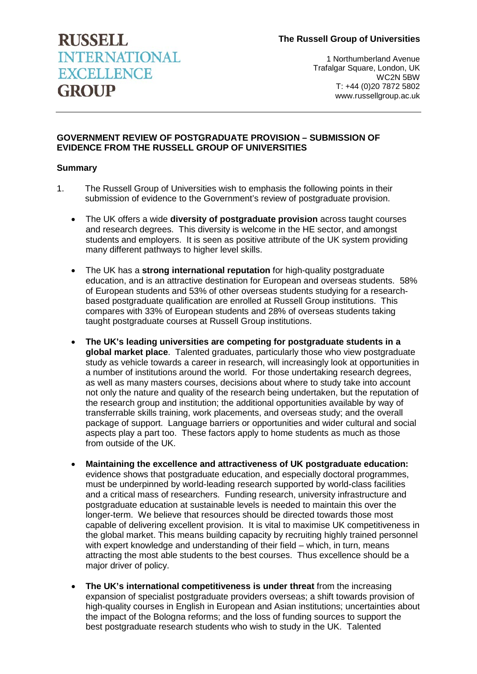## **The Russell Group of Universities**

# **RUSSELL INTERNATIONAL EXCELLENCE GROUP**

 1 Northumberland Avenue Trafalgar Square, London, UK WC2N 5BW T: +44 (0)20 7872 5802 www.russellgroup.ac.uk

## **GOVERNMENT REVIEW OF POSTGRADUATE PROVISION – SUBMISSION OF EVIDENCE FROM THE RUSSELL GROUP OF UNIVERSITIES**

## **Summary**

- 1. The Russell Group of Universities wish to emphasis the following points in their submission of evidence to the Government's review of postgraduate provision.
	- The UK offers a wide **diversity of postgraduate provision** across taught courses and research degrees. This diversity is welcome in the HE sector, and amongst students and employers. It is seen as positive attribute of the UK system providing many different pathways to higher level skills.
	- The UK has a **strong international reputation** for high-quality postgraduate education, and is an attractive destination for European and overseas students. 58% of European students and 53% of other overseas students studying for a researchbased postgraduate qualification are enrolled at Russell Group institutions. This compares with 33% of European students and 28% of overseas students taking taught postgraduate courses at Russell Group institutions.
	- **The UK's leading universities are competing for postgraduate students in a global market place**. Talented graduates, particularly those who view postgraduate study as vehicle towards a career in research, will increasingly look at opportunities in a number of institutions around the world. For those undertaking research degrees, as well as many masters courses, decisions about where to study take into account not only the nature and quality of the research being undertaken, but the reputation of the research group and institution; the additional opportunities available by way of transferrable skills training, work placements, and overseas study; and the overall package of support. Language barriers or opportunities and wider cultural and social aspects play a part too. These factors apply to home students as much as those from outside of the UK.
	- **Maintaining the excellence and attractiveness of UK postgraduate education:** evidence shows that postgraduate education, and especially doctoral programmes, must be underpinned by world-leading research supported by world-class facilities and a critical mass of researchers. Funding research, university infrastructure and postgraduate education at sustainable levels is needed to maintain this over the longer-term. We believe that resources should be directed towards those most capable of delivering excellent provision. It is vital to maximise UK competitiveness in the global market. This means building capacity by recruiting highly trained personnel with expert knowledge and understanding of their field – which, in turn, means attracting the most able students to the best courses. Thus excellence should be a major driver of policy.
	- **The UK's international competitiveness is under threat** from the increasing expansion of specialist postgraduate providers overseas; a shift towards provision of high-quality courses in English in European and Asian institutions; uncertainties about the impact of the Bologna reforms; and the loss of funding sources to support the best postgraduate research students who wish to study in the UK. Talented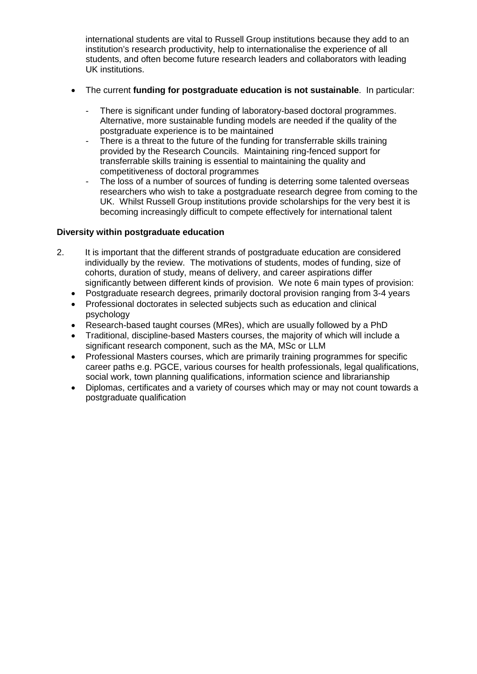international students are vital to Russell Group institutions because they add to an institution's research productivity, help to internationalise the experience of all students, and often become future research leaders and collaborators with leading UK institutions.

- The current **funding for postgraduate education is not sustainable**. In particular:
	- There is significant under funding of laboratory-based doctoral programmes. Alternative, more sustainable funding models are needed if the quality of the postgraduate experience is to be maintained
	- There is a threat to the future of the funding for transferrable skills training provided by the Research Councils. Maintaining ring-fenced support for transferrable skills training is essential to maintaining the quality and competitiveness of doctoral programmes
	- The loss of a number of sources of funding is deterring some talented overseas researchers who wish to take a postgraduate research degree from coming to the UK. Whilst Russell Group institutions provide scholarships for the very best it is becoming increasingly difficult to compete effectively for international talent

## **Diversity within postgraduate education**

- 2. It is important that the different strands of postgraduate education are considered individually by the review. The motivations of students, modes of funding, size of cohorts, duration of study, means of delivery, and career aspirations differ significantly between different kinds of provision. We note 6 main types of provision:
	- Postgraduate research degrees, primarily doctoral provision ranging from 3-4 years
	- Professional doctorates in selected subjects such as education and clinical psychology
	- Research-based taught courses (MRes), which are usually followed by a PhD
	- Traditional, discipline-based Masters courses, the majority of which will include a significant research component, such as the MA, MSc or LLM
	- Professional Masters courses, which are primarily training programmes for specific career paths e.g. PGCE, various courses for health professionals, legal qualifications, social work, town planning qualifications, information science and librarianship
	- Diplomas, certificates and a variety of courses which may or may not count towards a postgraduate qualification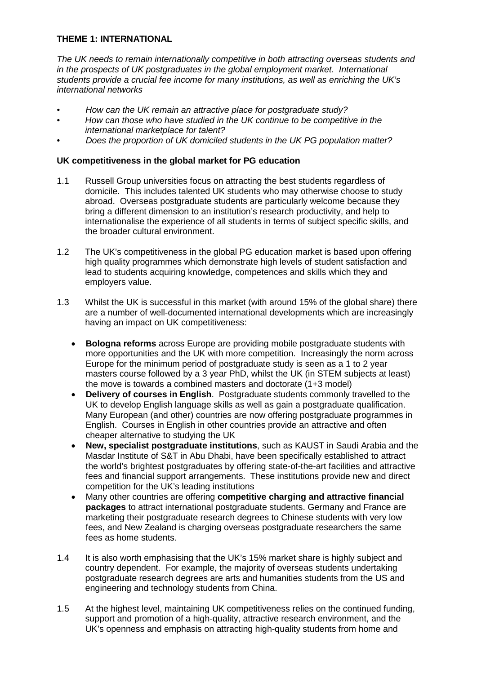# **THEME 1: INTERNATIONAL**

*The UK needs to remain internationally competitive in both attracting overseas students and in the prospects of UK postgraduates in the global employment market. International students provide a crucial fee income for many institutions, as well as enriching the UK's international networks*

- *• How can the UK remain an attractive place for postgraduate study?*
- *• How can those who have studied in the UK continue to be competitive in the international marketplace for talent?*
- *• Does the proportion of UK domiciled students in the UK PG population matter?*

## **UK competitiveness in the global market for PG education**

- 1.1 Russell Group universities focus on attracting the best students regardless of domicile. This includes talented UK students who may otherwise choose to study abroad. Overseas postgraduate students are particularly welcome because they bring a different dimension to an institution's research productivity, and help to internationalise the experience of all students in terms of subject specific skills, and the broader cultural environment.
- 1.2 The UK's competitiveness in the global PG education market is based upon offering high quality programmes which demonstrate high levels of student satisfaction and lead to students acquiring knowledge, competences and skills which they and employers value.
- 1.3 Whilst the UK is successful in this market (with around 15% of the global share) there are a number of well-documented international developments which are increasingly having an impact on UK competitiveness:
	- **Bologna reforms** across Europe are providing mobile postgraduate students with more opportunities and the UK with more competition. Increasingly the norm across Europe for the minimum period of postgraduate study is seen as a 1 to 2 year masters course followed by a 3 year PhD, whilst the UK (in STEM subjects at least) the move is towards a combined masters and doctorate (1+3 model)
	- **Delivery of courses in English**. Postgraduate students commonly travelled to the UK to develop English language skills as well as gain a postgraduate qualification. Many European (and other) countries are now offering postgraduate programmes in English. Courses in English in other countries provide an attractive and often cheaper alternative to studying the UK
	- **New, specialist postgraduate institutions**, such as KAUST in Saudi Arabia and the Masdar Institute of S&T in Abu Dhabi, have been specifically established to attract the world's brightest postgraduates by offering state-of-the-art facilities and attractive fees and financial support arrangements. These institutions provide new and direct competition for the UK's leading institutions
	- Many other countries are offering **competitive charging and attractive financial packages** to attract international postgraduate students. Germany and France are marketing their postgraduate research degrees to Chinese students with very low fees, and New Zealand is charging overseas postgraduate researchers the same fees as home students.
- 1.4 It is also worth emphasising that the UK's 15% market share is highly subject and country dependent. For example, the majority of overseas students undertaking postgraduate research degrees are arts and humanities students from the US and engineering and technology students from China.
- 1.5 At the highest level, maintaining UK competitiveness relies on the continued funding, support and promotion of a high-quality, attractive research environment, and the UK's openness and emphasis on attracting high-quality students from home and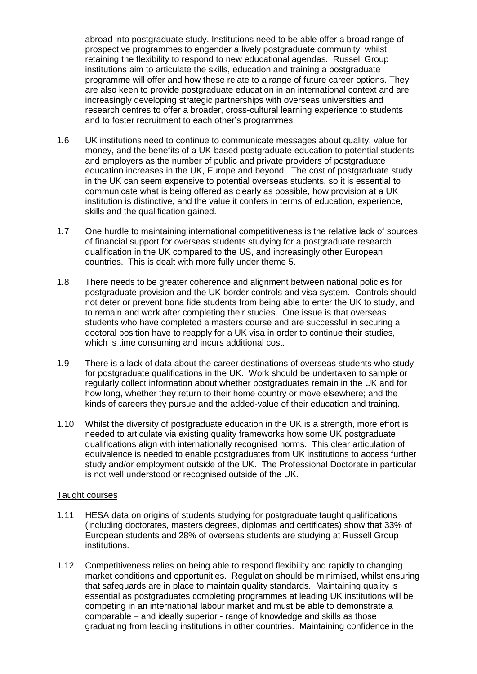abroad into postgraduate study. Institutions need to be able offer a broad range of prospective programmes to engender a lively postgraduate community, whilst retaining the flexibility to respond to new educational agendas. Russell Group institutions aim to articulate the skills, education and training a postgraduate programme will offer and how these relate to a range of future career options. They are also keen to provide postgraduate education in an international context and are increasingly developing strategic partnerships with overseas universities and research centres to offer a broader, cross-cultural learning experience to students and to foster recruitment to each other's programmes.

- 1.6 UK institutions need to continue to communicate messages about quality, value for money, and the benefits of a UK-based postgraduate education to potential students and employers as the number of public and private providers of postgraduate education increases in the UK, Europe and beyond. The cost of postgraduate study in the UK can seem expensive to potential overseas students, so it is essential to communicate what is being offered as clearly as possible, how provision at a UK institution is distinctive, and the value it confers in terms of education, experience, skills and the qualification gained.
- 1.7 One hurdle to maintaining international competitiveness is the relative lack of sources of financial support for overseas students studying for a postgraduate research qualification in the UK compared to the US, and increasingly other European countries. This is dealt with more fully under theme 5.
- 1.8 There needs to be greater coherence and alignment between national policies for postgraduate provision and the UK border controls and visa system. Controls should not deter or prevent bona fide students from being able to enter the UK to study, and to remain and work after completing their studies. One issue is that overseas students who have completed a masters course and are successful in securing a doctoral position have to reapply for a UK visa in order to continue their studies, which is time consuming and incurs additional cost.
- 1.9 There is a lack of data about the career destinations of overseas students who study for postgraduate qualifications in the UK. Work should be undertaken to sample or regularly collect information about whether postgraduates remain in the UK and for how long, whether they return to their home country or move elsewhere; and the kinds of careers they pursue and the added-value of their education and training.
- 1.10 Whilst the diversity of postgraduate education in the UK is a strength, more effort is needed to articulate via existing quality frameworks how some UK postgraduate qualifications align with internationally recognised norms. This clear articulation of equivalence is needed to enable postgraduates from UK institutions to access further study and/or employment outside of the UK. The Professional Doctorate in particular is not well understood or recognised outside of the UK.

#### Taught courses

- 1.11 HESA data on origins of students studying for postgraduate taught qualifications (including doctorates, masters degrees, diplomas and certificates) show that 33% of European students and 28% of overseas students are studying at Russell Group institutions.
- 1.12 Competitiveness relies on being able to respond flexibility and rapidly to changing market conditions and opportunities. Regulation should be minimised, whilst ensuring that safeguards are in place to maintain quality standards. Maintaining quality is essential as postgraduates completing programmes at leading UK institutions will be competing in an international labour market and must be able to demonstrate a comparable – and ideally superior - range of knowledge and skills as those graduating from leading institutions in other countries. Maintaining confidence in the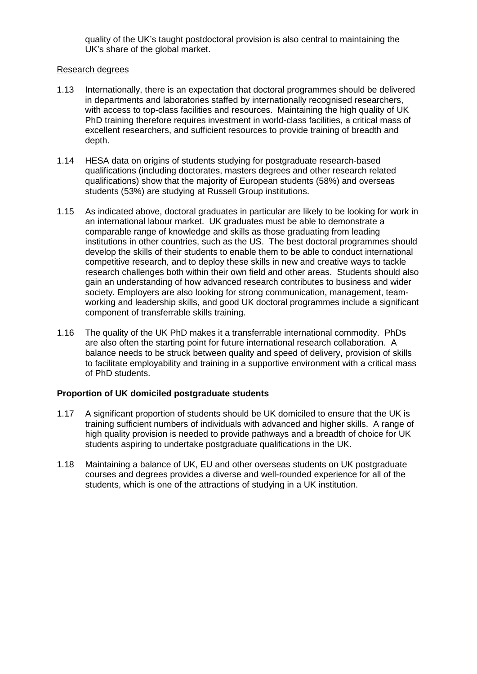quality of the UK's taught postdoctoral provision is also central to maintaining the UK's share of the global market.

#### Research degrees

- 1.13 Internationally, there is an expectation that doctoral programmes should be delivered in departments and laboratories staffed by internationally recognised researchers, with access to top-class facilities and resources. Maintaining the high quality of UK PhD training therefore requires investment in world-class facilities, a critical mass of excellent researchers, and sufficient resources to provide training of breadth and depth.
- 1.14 HESA data on origins of students studying for postgraduate research-based qualifications (including doctorates, masters degrees and other research related qualifications) show that the majority of European students (58%) and overseas students (53%) are studying at Russell Group institutions.
- 1.15 As indicated above, doctoral graduates in particular are likely to be looking for work in an international labour market. UK graduates must be able to demonstrate a comparable range of knowledge and skills as those graduating from leading institutions in other countries, such as the US. The best doctoral programmes should develop the skills of their students to enable them to be able to conduct international competitive research, and to deploy these skills in new and creative ways to tackle research challenges both within their own field and other areas. Students should also gain an understanding of how advanced research contributes to business and wider society. Employers are also looking for strong communication, management, teamworking and leadership skills, and good UK doctoral programmes include a significant component of transferrable skills training.
- 1.16 The quality of the UK PhD makes it a transferrable international commodity. PhDs are also often the starting point for future international research collaboration. A balance needs to be struck between quality and speed of delivery, provision of skills to facilitate employability and training in a supportive environment with a critical mass of PhD students.

## **Proportion of UK domiciled postgraduate students**

- 1.17 A significant proportion of students should be UK domiciled to ensure that the UK is training sufficient numbers of individuals with advanced and higher skills. A range of high quality provision is needed to provide pathways and a breadth of choice for UK students aspiring to undertake postgraduate qualifications in the UK.
- 1.18 Maintaining a balance of UK, EU and other overseas students on UK postgraduate courses and degrees provides a diverse and well-rounded experience for all of the students, which is one of the attractions of studying in a UK institution.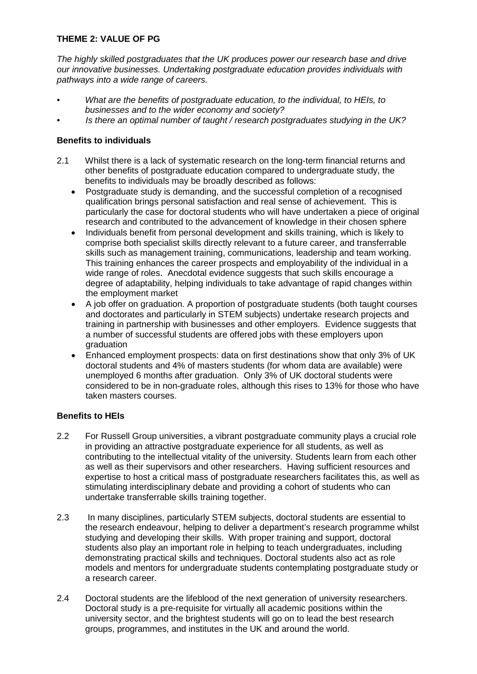# **THEME 2: VALUE OF PG**

*The highly skilled postgraduates that the UK produces power our research base and drive our innovative businesses. Undertaking postgraduate education provides individuals with pathways into a wide range of careers.*

- *• What are the benefits of postgraduate education, to the individual, to HEIs, to businesses and to the wider economy and society?*
- *• Is there an optimal number of taught / research postgraduates studying in the UK?*

## **Benefits to individuals**

- 2.1 Whilst there is a lack of systematic research on the long-term financial returns and other benefits of postgraduate education compared to undergraduate study, the benefits to individuals may be broadly described as follows:
	- Postgraduate study is demanding, and the successful completion of a recognised qualification brings personal satisfaction and real sense of achievement. This is particularly the case for doctoral students who will have undertaken a piece of original research and contributed to the advancement of knowledge in their chosen sphere
	- Individuals benefit from personal development and skills training, which is likely to comprise both specialist skills directly relevant to a future career, and transferrable skills such as management training, communications, leadership and team working. This training enhances the career prospects and employability of the individual in a wide range of roles. Anecdotal evidence suggests that such skills encourage a degree of adaptability, helping individuals to take advantage of rapid changes within the employment market
	- A job offer on graduation. A proportion of postgraduate students (both taught courses and doctorates and particularly in STEM subjects) undertake research projects and training in partnership with businesses and other employers. Evidence suggests that a number of successful students are offered jobs with these employers upon graduation
	- Enhanced employment prospects: data on first destinations show that only 3% of UK doctoral students and 4% of masters students (for whom data are available) were unemployed 6 months after graduation. Only 3% of UK doctoral students were considered to be in non-graduate roles, although this rises to 13% for those who have taken masters courses.

# **Benefits to HEIs**

- 2.2 For Russell Group universities, a vibrant postgraduate community plays a crucial role in providing an attractive postgraduate experience for all students, as well as contributing to the intellectual vitality of the university. Students learn from each other as well as their supervisors and other researchers. Having sufficient resources and expertise to host a critical mass of postgraduate researchers facilitates this, as well as stimulating interdisciplinary debate and providing a cohort of students who can undertake transferrable skills training together.
- 2.3 In many disciplines, particularly STEM subjects, doctoral students are essential to the research endeavour, helping to deliver a department's research programme whilst studying and developing their skills. With proper training and support, doctoral students also play an important role in helping to teach undergraduates, including demonstrating practical skills and techniques. Doctoral students also act as role models and mentors for undergraduate students contemplating postgraduate study or a research career.
- 2.4 Doctoral students are the lifeblood of the next generation of university researchers. Doctoral study is a pre-requisite for virtually all academic positions within the university sector, and the brightest students will go on to lead the best research groups, programmes, and institutes in the UK and around the world.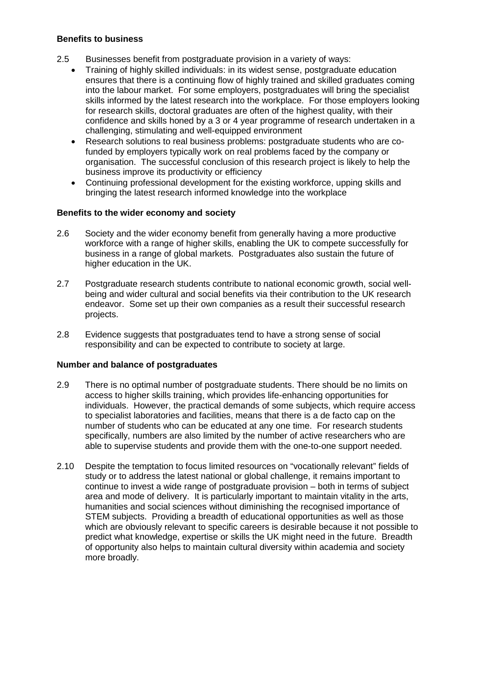## **Benefits to business**

- 2.5 Businesses benefit from postgraduate provision in a variety of ways:
	- Training of highly skilled individuals: in its widest sense, postgraduate education ensures that there is a continuing flow of highly trained and skilled graduates coming into the labour market. For some employers, postgraduates will bring the specialist skills informed by the latest research into the workplace. For those employers looking for research skills, doctoral graduates are often of the highest quality, with their confidence and skills honed by a 3 or 4 year programme of research undertaken in a challenging, stimulating and well-equipped environment
	- Research solutions to real business problems: postgraduate students who are cofunded by employers typically work on real problems faced by the company or organisation. The successful conclusion of this research project is likely to help the business improve its productivity or efficiency
	- Continuing professional development for the existing workforce, upping skills and bringing the latest research informed knowledge into the workplace

#### **Benefits to the wider economy and society**

- 2.6 Society and the wider economy benefit from generally having a more productive workforce with a range of higher skills, enabling the UK to compete successfully for business in a range of global markets. Postgraduates also sustain the future of higher education in the UK.
- 2.7 Postgraduate research students contribute to national economic growth, social wellbeing and wider cultural and social benefits via their contribution to the UK research endeavor. Some set up their own companies as a result their successful research projects.
- 2.8 Evidence suggests that postgraduates tend to have a strong sense of social responsibility and can be expected to contribute to society at large.

#### **Number and balance of postgraduates**

- 2.9 There is no optimal number of postgraduate students. There should be no limits on access to higher skills training, which provides life-enhancing opportunities for individuals. However, the practical demands of some subjects, which require access to specialist laboratories and facilities, means that there is a de facto cap on the number of students who can be educated at any one time. For research students specifically, numbers are also limited by the number of active researchers who are able to supervise students and provide them with the one-to-one support needed.
- 2.10 Despite the temptation to focus limited resources on "vocationally relevant" fields of study or to address the latest national or global challenge, it remains important to continue to invest a wide range of postgraduate provision – both in terms of subject area and mode of delivery. It is particularly important to maintain vitality in the arts, humanities and social sciences without diminishing the recognised importance of STEM subjects. Providing a breadth of educational opportunities as well as those which are obviously relevant to specific careers is desirable because it not possible to predict what knowledge, expertise or skills the UK might need in the future. Breadth of opportunity also helps to maintain cultural diversity within academia and society more broadly.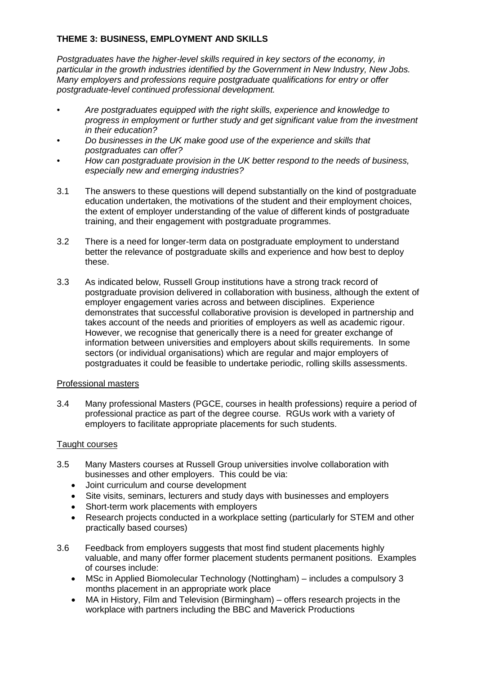# **THEME 3: BUSINESS, EMPLOYMENT AND SKILLS**

*Postgraduates have the higher-level skills required in key sectors of the economy, in particular in the growth industries identified by the Government in New Industry, New Jobs. Many employers and professions require postgraduate qualifications for entry or offer postgraduate-level continued professional development.*

- *• Are postgraduates equipped with the right skills, experience and knowledge to progress in employment or further study and get significant value from the investment in their education?*
- *• Do businesses in the UK make good use of the experience and skills that postgraduates can offer?*
- *• How can postgraduate provision in the UK better respond to the needs of business, especially new and emerging industries?*
- 3.1 The answers to these questions will depend substantially on the kind of postgraduate education undertaken, the motivations of the student and their employment choices, the extent of employer understanding of the value of different kinds of postgraduate training, and their engagement with postgraduate programmes.
- 3.2 There is a need for longer-term data on postgraduate employment to understand better the relevance of postgraduate skills and experience and how best to deploy these.
- 3.3 As indicated below, Russell Group institutions have a strong track record of postgraduate provision delivered in collaboration with business, although the extent of employer engagement varies across and between disciplines. Experience demonstrates that successful collaborative provision is developed in partnership and takes account of the needs and priorities of employers as well as academic rigour. However, we recognise that generically there is a need for greater exchange of information between universities and employers about skills requirements. In some sectors (or individual organisations) which are regular and major employers of postgraduates it could be feasible to undertake periodic, rolling skills assessments.

## Professional masters

3.4 Many professional Masters (PGCE, courses in health professions) require a period of professional practice as part of the degree course. RGUs work with a variety of employers to facilitate appropriate placements for such students.

## Taught courses

- 3.5 Many Masters courses at Russell Group universities involve collaboration with businesses and other employers. This could be via:
	- Joint curriculum and course development
	- Site visits, seminars, lecturers and study days with businesses and employers
	- Short-term work placements with employers
	- Research projects conducted in a workplace setting (particularly for STEM and other practically based courses)
- 3.6 Feedback from employers suggests that most find student placements highly valuable, and many offer former placement students permanent positions. Examples of courses include:
	- MSc in Applied Biomolecular Technology (Nottingham) includes a compulsory 3 months placement in an appropriate work place
	- MA in History, Film and Television (Birmingham) offers research projects in the workplace with partners including the BBC and Maverick Productions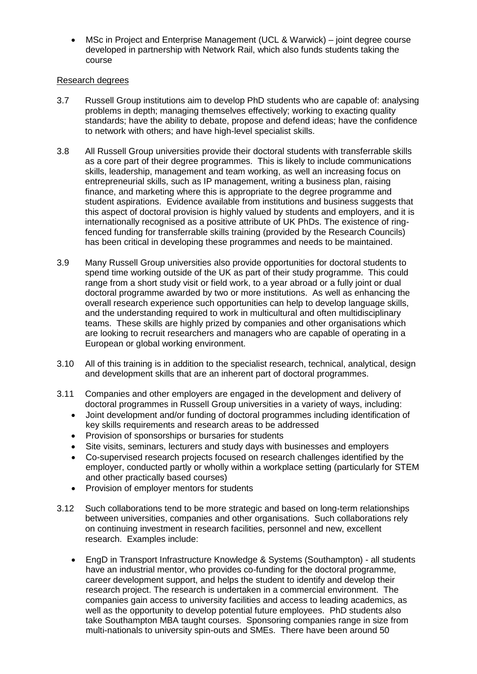• MSc in Project and Enterprise Management (UCL & Warwick) – joint degree course developed in partnership with Network Rail, which also funds students taking the course

## Research degrees

- 3.7 Russell Group institutions aim to develop PhD students who are capable of: analysing problems in depth; managing themselves effectively; working to exacting quality standards; have the ability to debate, propose and defend ideas; have the confidence to network with others; and have high-level specialist skills.
- 3.8 All Russell Group universities provide their doctoral students with transferrable skills as a core part of their degree programmes. This is likely to include communications skills, leadership, management and team working, as well an increasing focus on entrepreneurial skills, such as IP management, writing a business plan, raising finance, and marketing where this is appropriate to the degree programme and student aspirations. Evidence available from institutions and business suggests that this aspect of doctoral provision is highly valued by students and employers, and it is internationally recognised as a positive attribute of UK PhDs. The existence of ringfenced funding for transferrable skills training (provided by the Research Councils) has been critical in developing these programmes and needs to be maintained.
- 3.9 Many Russell Group universities also provide opportunities for doctoral students to spend time working outside of the UK as part of their study programme. This could range from a short study visit or field work, to a year abroad or a fully joint or dual doctoral programme awarded by two or more institutions. As well as enhancing the overall research experience such opportunities can help to develop language skills, and the understanding required to work in multicultural and often multidisciplinary teams. These skills are highly prized by companies and other organisations which are looking to recruit researchers and managers who are capable of operating in a European or global working environment.
- 3.10 All of this training is in addition to the specialist research, technical, analytical, design and development skills that are an inherent part of doctoral programmes.
- 3.11 Companies and other employers are engaged in the development and delivery of doctoral programmes in Russell Group universities in a variety of ways, including:
	- Joint development and/or funding of doctoral programmes including identification of key skills requirements and research areas to be addressed
	- Provision of sponsorships or bursaries for students
	- Site visits, seminars, lecturers and study days with businesses and employers
	- Co-supervised research projects focused on research challenges identified by the employer, conducted partly or wholly within a workplace setting (particularly for STEM and other practically based courses)
	- Provision of employer mentors for students
- 3.12 Such collaborations tend to be more strategic and based on long-term relationships between universities, companies and other organisations. Such collaborations rely on continuing investment in research facilities, personnel and new, excellent research. Examples include:
	- EngD in Transport Infrastructure Knowledge & Systems (Southampton) all students have an industrial mentor, who provides co-funding for the doctoral programme, career development support, and helps the student to identify and develop their research project. The research is undertaken in a commercial environment. The companies gain access to university facilities and access to leading academics, as well as the opportunity to develop potential future employees. PhD students also take Southampton MBA taught courses. Sponsoring companies range in size from multi-nationals to university spin-outs and SMEs. There have been around 50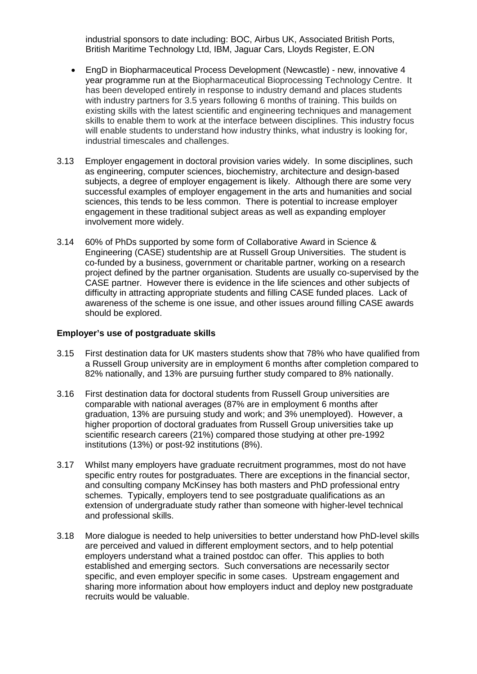industrial sponsors to date including: BOC, Airbus UK, Associated British Ports, British Maritime Technology Ltd, IBM, Jaguar Cars, Lloyds Register, E.ON

- EngD in Biopharmaceutical Process Development (Newcastle) new, innovative 4 year programme run at the Biopharmaceutical Bioprocessing Technology Centre. It has been developed entirely in response to industry demand and places students with industry partners for 3.5 years following 6 months of training. This builds on existing skills with the latest scientific and engineering techniques and management skills to enable them to work at the interface between disciplines. This industry focus will enable students to understand how industry thinks, what industry is looking for, industrial timescales and challenges.
- 3.13 Employer engagement in doctoral provision varies widely. In some disciplines, such as engineering, computer sciences, biochemistry, architecture and design-based subjects, a degree of employer engagement is likely. Although there are some very successful examples of employer engagement in the arts and humanities and social sciences, this tends to be less common. There is potential to increase employer engagement in these traditional subject areas as well as expanding employer involvement more widely.
- 3.14 60% of PhDs supported by some form of Collaborative Award in Science & Engineering (CASE) studentship are at Russell Group Universities. The student is co-funded by a business, government or charitable partner, working on a research project defined by the partner organisation. Students are usually co-supervised by the CASE partner. However there is evidence in the life sciences and other subjects of difficulty in attracting appropriate students and filling CASE funded places. Lack of awareness of the scheme is one issue, and other issues around filling CASE awards should be explored.

#### **Employer's use of postgraduate skills**

- 3.15 First destination data for UK masters students show that 78% who have qualified from a Russell Group university are in employment 6 months after completion compared to 82% nationally, and 13% are pursuing further study compared to 8% nationally.
- 3.16 First destination data for doctoral students from Russell Group universities are comparable with national averages (87% are in employment 6 months after graduation, 13% are pursuing study and work; and 3% unemployed). However, a higher proportion of doctoral graduates from Russell Group universities take up scientific research careers (21%) compared those studying at other pre-1992 institutions (13%) or post-92 institutions (8%).
- 3.17 Whilst many employers have graduate recruitment programmes, most do not have specific entry routes for postgraduates. There are exceptions in the financial sector, and consulting company McKinsey has both masters and PhD professional entry schemes. Typically, employers tend to see postgraduate qualifications as an extension of undergraduate study rather than someone with higher-level technical and professional skills.
- 3.18 More dialogue is needed to help universities to better understand how PhD-level skills are perceived and valued in different employment sectors, and to help potential employers understand what a trained postdoc can offer. This applies to both established and emerging sectors. Such conversations are necessarily sector specific, and even employer specific in some cases. Upstream engagement and sharing more information about how employers induct and deploy new postgraduate recruits would be valuable.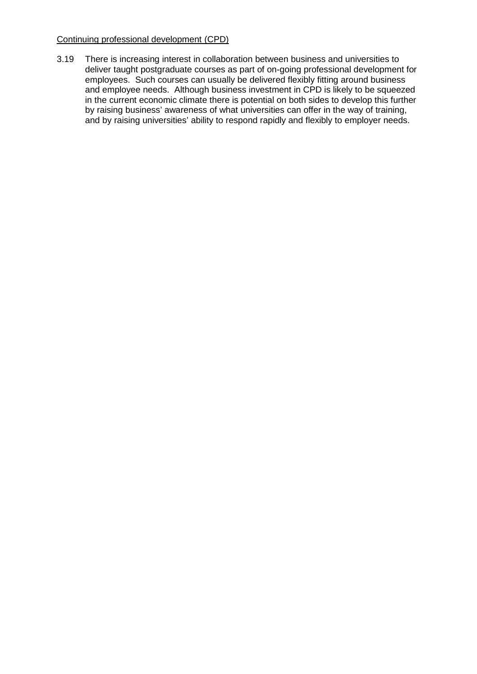## Continuing professional development (CPD)

3.19 There is increasing interest in collaboration between business and universities to deliver taught postgraduate courses as part of on-going professional development for employees. Such courses can usually be delivered flexibly fitting around business and employee needs. Although business investment in CPD is likely to be squeezed in the current economic climate there is potential on both sides to develop this further by raising business' awareness of what universities can offer in the way of training, and by raising universities' ability to respond rapidly and flexibly to employer needs.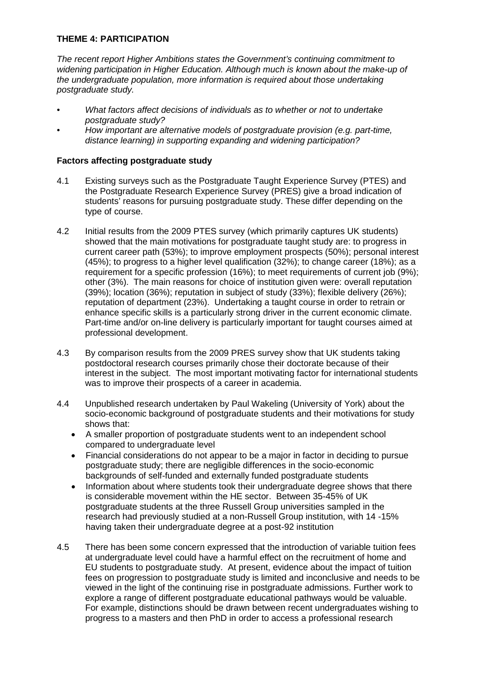# **THEME 4: PARTICIPATION**

*The recent report Higher Ambitions states the Government's continuing commitment to widening participation in Higher Education. Although much is known about the make-up of the undergraduate population, more information is required about those undertaking postgraduate study.*

- *• What factors affect decisions of individuals as to whether or not to undertake postgraduate study?*
- *• How important are alternative models of postgraduate provision (e.g. part-time, distance learning) in supporting expanding and widening participation?*

## **Factors affecting postgraduate study**

- 4.1 Existing surveys such as the Postgraduate Taught Experience Survey (PTES) and the Postgraduate Research Experience Survey (PRES) give a broad indication of students' reasons for pursuing postgraduate study. These differ depending on the type of course.
- 4.2 Initial results from the 2009 PTES survey (which primarily captures UK students) showed that the main motivations for postgraduate taught study are: to progress in current career path (53%); to improve employment prospects (50%); personal interest (45%); to progress to a higher level qualification (32%); to change career (18%); as a requirement for a specific profession (16%); to meet requirements of current job (9%); other (3%). The main reasons for choice of institution given were: overall reputation (39%); location (36%); reputation in subject of study (33%); flexible delivery (26%); reputation of department (23%). Undertaking a taught course in order to retrain or enhance specific skills is a particularly strong driver in the current economic climate. Part-time and/or on-line delivery is particularly important for taught courses aimed at professional development.
- 4.3 By comparison results from the 2009 PRES survey show that UK students taking postdoctoral research courses primarily chose their doctorate because of their interest in the subject. The most important motivating factor for international students was to improve their prospects of a career in academia.
- 4.4 Unpublished research undertaken by Paul Wakeling (University of York) about the socio-economic background of postgraduate students and their motivations for study shows that:
	- A smaller proportion of postgraduate students went to an independent school compared to undergraduate level
	- Financial considerations do not appear to be a major in factor in deciding to pursue postgraduate study; there are negligible differences in the socio-economic backgrounds of self-funded and externally funded postgraduate students
	- Information about where students took their undergraduate degree shows that there is considerable movement within the HE sector. Between 35-45% of UK postgraduate students at the three Russell Group universities sampled in the research had previously studied at a non-Russell Group institution, with 14 -15% having taken their undergraduate degree at a post-92 institution
- 4.5 There has been some concern expressed that the introduction of variable tuition fees at undergraduate level could have a harmful effect on the recruitment of home and EU students to postgraduate study. At present, evidence about the impact of tuition fees on progression to postgraduate study is limited and inconclusive and needs to be viewed in the light of the continuing rise in postgraduate admissions. Further work to explore a range of different postgraduate educational pathways would be valuable. For example, distinctions should be drawn between recent undergraduates wishing to progress to a masters and then PhD in order to access a professional research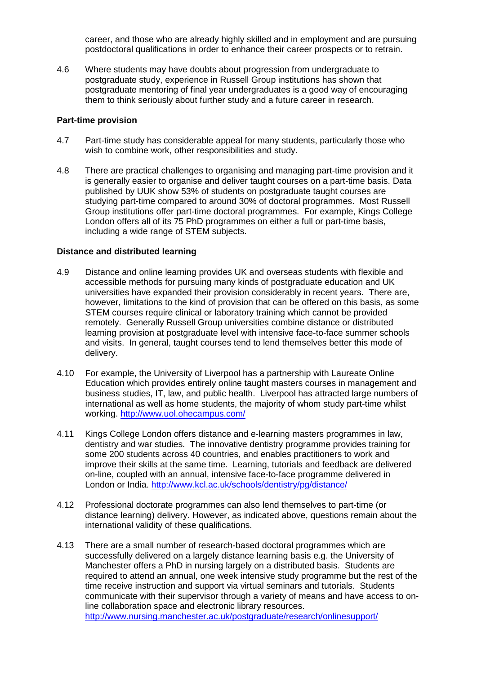career, and those who are already highly skilled and in employment and are pursuing postdoctoral qualifications in order to enhance their career prospects or to retrain.

4.6 Where students may have doubts about progression from undergraduate to postgraduate study, experience in Russell Group institutions has shown that postgraduate mentoring of final year undergraduates is a good way of encouraging them to think seriously about further study and a future career in research.

#### **Part-time provision**

- 4.7 Part-time study has considerable appeal for many students, particularly those who wish to combine work, other responsibilities and study.
- 4.8 There are practical challenges to organising and managing part-time provision and it is generally easier to organise and deliver taught courses on a part-time basis. Data published by UUK show 53% of students on postgraduate taught courses are studying part-time compared to around 30% of doctoral programmes. Most Russell Group institutions offer part-time doctoral programmes. For example, Kings College London offers all of its 75 PhD programmes on either a full or part-time basis, including a wide range of STEM subjects.

#### **Distance and distributed learning**

- 4.9 Distance and online learning provides UK and overseas students with flexible and accessible methods for pursuing many kinds of postgraduate education and UK universities have expanded their provision considerably in recent years. There are, however, limitations to the kind of provision that can be offered on this basis, as some STEM courses require clinical or laboratory training which cannot be provided remotely. Generally Russell Group universities combine distance or distributed learning provision at postgraduate level with intensive face-to-face summer schools and visits. In general, taught courses tend to lend themselves better this mode of delivery.
- 4.10 For example, the University of Liverpool has a partnership with Laureate Online Education which provides entirely online taught masters courses in management and business studies, IT, law, and public health. Liverpool has attracted large numbers of international as well as home students, the majority of whom study part-time whilst working. <http://www.uol.ohecampus.com/>
- 4.11 Kings College London offers distance and e-learning masters programmes in law, dentistry and war studies. The innovative dentistry programme provides training for some 200 students across 40 countries, and enables practitioners to work and improve their skills at the same time. Learning, tutorials and feedback are delivered on-line, coupled with an annual, intensive face-to-face programme delivered in London or India. <http://www.kcl.ac.uk/schools/dentistry/pg/distance/>
- 4.12 Professional doctorate programmes can also lend themselves to part-time (or distance learning) delivery. However, as indicated above, questions remain about the international validity of these qualifications.
- 4.13 There are a small number of research-based doctoral programmes which are successfully delivered on a largely distance learning basis e.g. the University of Manchester offers a PhD in nursing largely on a distributed basis. Students are required to attend an annual, one week intensive study programme but the rest of the time receive instruction and support via virtual seminars and tutorials. Students communicate with their supervisor through a variety of means and have access to online collaboration space and electronic library resources. <http://www.nursing.manchester.ac.uk/postgraduate/research/onlinesupport/>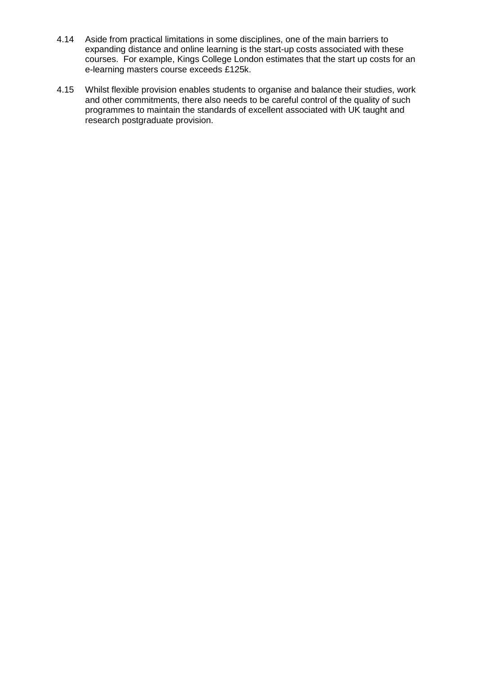- 4.14 Aside from practical limitations in some disciplines, one of the main barriers to expanding distance and online learning is the start-up costs associated with these courses. For example, Kings College London estimates that the start up costs for an e-learning masters course exceeds £125k.
- 4.15 Whilst flexible provision enables students to organise and balance their studies, work and other commitments, there also needs to be careful control of the quality of such programmes to maintain the standards of excellent associated with UK taught and research postgraduate provision.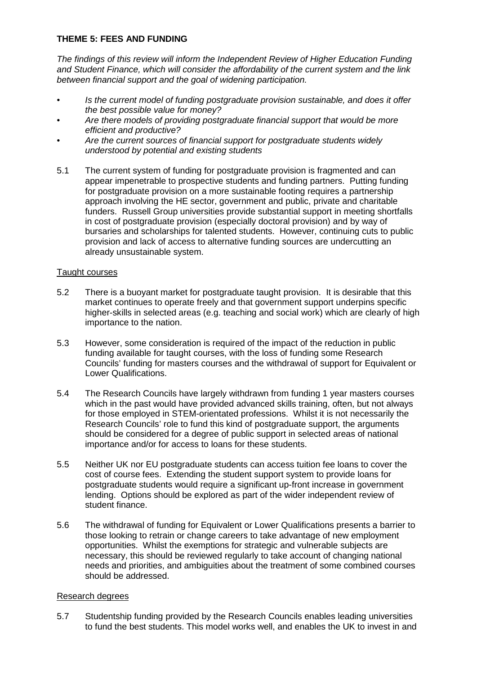# **THEME 5: FEES AND FUNDING**

*The findings of this review will inform the Independent Review of Higher Education Funding and Student Finance, which will consider the affordability of the current system and the link between financial support and the goal of widening participation.* 

- *• Is the current model of funding postgraduate provision sustainable, and does it offer the best possible value for money?*
- *• Are there models of providing postgraduate financial support that would be more efficient and productive?*
- *• Are the current sources of financial support for postgraduate students widely understood by potential and existing students*
- 5.1 The current system of funding for postgraduate provision is fragmented and can appear impenetrable to prospective students and funding partners. Putting funding for postgraduate provision on a more sustainable footing requires a partnership approach involving the HE sector, government and public, private and charitable funders. Russell Group universities provide substantial support in meeting shortfalls in cost of postgraduate provision (especially doctoral provision) and by way of bursaries and scholarships for talented students. However, continuing cuts to public provision and lack of access to alternative funding sources are undercutting an already unsustainable system.

## Taught courses

- 5.2 There is a buoyant market for postgraduate taught provision. It is desirable that this market continues to operate freely and that government support underpins specific higher-skills in selected areas (e.g. teaching and social work) which are clearly of high importance to the nation.
- 5.3 However, some consideration is required of the impact of the reduction in public funding available for taught courses, with the loss of funding some Research Councils' funding for masters courses and the withdrawal of support for Equivalent or Lower Qualifications.
- 5.4 The Research Councils have largely withdrawn from funding 1 year masters courses which in the past would have provided advanced skills training, often, but not always for those employed in STEM-orientated professions. Whilst it is not necessarily the Research Councils' role to fund this kind of postgraduate support, the arguments should be considered for a degree of public support in selected areas of national importance and/or for access to loans for these students.
- 5.5 Neither UK nor EU postgraduate students can access tuition fee loans to cover the cost of course fees. Extending the student support system to provide loans for postgraduate students would require a significant up-front increase in government lending. Options should be explored as part of the wider independent review of student finance.
- 5.6 The withdrawal of funding for Equivalent or Lower Qualifications presents a barrier to those looking to retrain or change careers to take advantage of new employment opportunities. Whilst the exemptions for strategic and vulnerable subjects are necessary, this should be reviewed regularly to take account of changing national needs and priorities, and ambiguities about the treatment of some combined courses should be addressed.

#### Research degrees

5.7 Studentship funding provided by the Research Councils enables leading universities to fund the best students. This model works well, and enables the UK to invest in and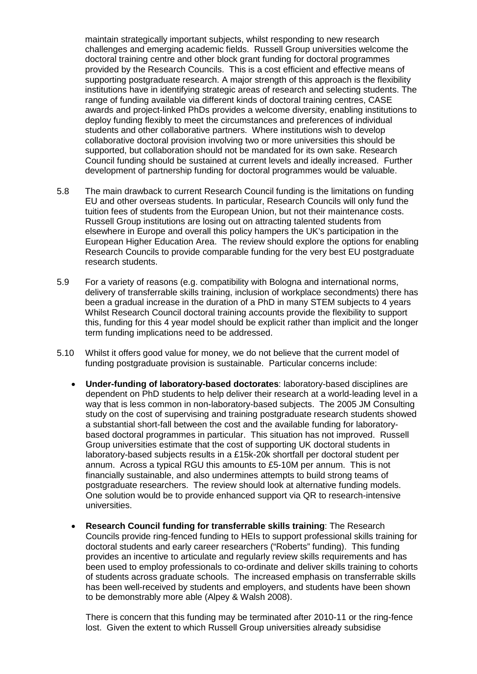maintain strategically important subjects, whilst responding to new research challenges and emerging academic fields. Russell Group universities welcome the doctoral training centre and other block grant funding for doctoral programmes provided by the Research Councils. This is a cost efficient and effective means of supporting postgraduate research. A major strength of this approach is the flexibility institutions have in identifying strategic areas of research and selecting students. The range of funding available via different kinds of doctoral training centres, CASE awards and project-linked PhDs provides a welcome diversity, enabling institutions to deploy funding flexibly to meet the circumstances and preferences of individual students and other collaborative partners. Where institutions wish to develop collaborative doctoral provision involving two or more universities this should be supported, but collaboration should not be mandated for its own sake. Research Council funding should be sustained at current levels and ideally increased. Further development of partnership funding for doctoral programmes would be valuable.

- 5.8 The main drawback to current Research Council funding is the limitations on funding EU and other overseas students. In particular, Research Councils will only fund the tuition fees of students from the European Union, but not their maintenance costs. Russell Group institutions are losing out on attracting talented students from elsewhere in Europe and overall this policy hampers the UK's participation in the European Higher Education Area. The review should explore the options for enabling Research Councils to provide comparable funding for the very best EU postgraduate research students.
- 5.9 For a variety of reasons (e.g. compatibility with Bologna and international norms, delivery of transferrable skills training, inclusion of workplace secondments) there has been a gradual increase in the duration of a PhD in many STEM subjects to 4 years Whilst Research Council doctoral training accounts provide the flexibility to support this, funding for this 4 year model should be explicit rather than implicit and the longer term funding implications need to be addressed.
- 5.10 Whilst it offers good value for money, we do not believe that the current model of funding postgraduate provision is sustainable. Particular concerns include:
	- **Under-funding of laboratory-based doctorates**: laboratory-based disciplines are dependent on PhD students to help deliver their research at a world-leading level in a way that is less common in non-laboratory-based subjects. The 2005 JM Consulting study on the cost of supervising and training postgraduate research students showed a substantial short-fall between the cost and the available funding for laboratorybased doctoral programmes in particular. This situation has not improved. Russell Group universities estimate that the cost of supporting UK doctoral students in laboratory-based subjects results in a £15k-20k shortfall per doctoral student per annum. Across a typical RGU this amounts to £5-10M per annum. This is not financially sustainable, and also undermines attempts to build strong teams of postgraduate researchers. The review should look at alternative funding models. One solution would be to provide enhanced support via QR to research-intensive universities.
	- **Research Council funding for transferrable skills training**: The Research Councils provide ring-fenced funding to HEIs to support professional skills training for doctoral students and early career researchers ("Roberts" funding). This funding provides an incentive to articulate and regularly review skills requirements and has been used to employ professionals to co-ordinate and deliver skills training to cohorts of students across graduate schools. The increased emphasis on transferrable skills has been well-received by students and employers, and students have been shown to be demonstrably more able (Alpey & Walsh 2008).

There is concern that this funding may be terminated after 2010-11 or the ring-fence lost. Given the extent to which Russell Group universities already subsidise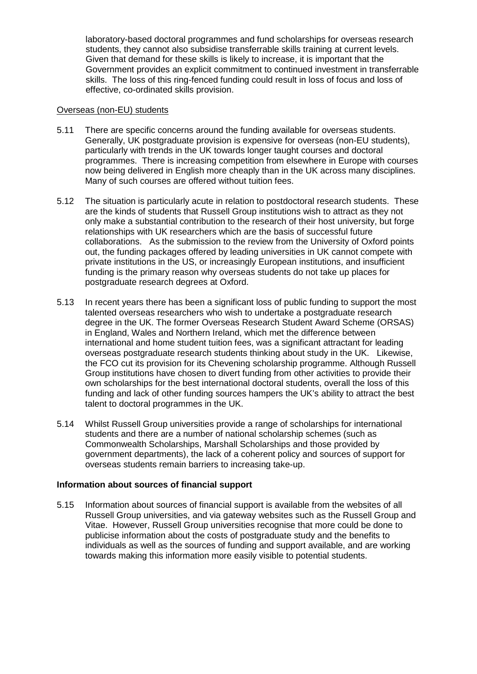laboratory-based doctoral programmes and fund scholarships for overseas research students, they cannot also subsidise transferrable skills training at current levels. Given that demand for these skills is likely to increase, it is important that the Government provides an explicit commitment to continued investment in transferrable skills. The loss of this ring-fenced funding could result in loss of focus and loss of effective, co-ordinated skills provision.

## Overseas (non-EU) students

- 5.11 There are specific concerns around the funding available for overseas students. Generally, UK postgraduate provision is expensive for overseas (non-EU students), particularly with trends in the UK towards longer taught courses and doctoral programmes. There is increasing competition from elsewhere in Europe with courses now being delivered in English more cheaply than in the UK across many disciplines. Many of such courses are offered without tuition fees.
- 5.12 The situation is particularly acute in relation to postdoctoral research students. These are the kinds of students that Russell Group institutions wish to attract as they not only make a substantial contribution to the research of their host university, but forge relationships with UK researchers which are the basis of successful future collaborations. As the submission to the review from the University of Oxford points out, the funding packages offered by leading universities in UK cannot compete with private institutions in the US, or increasingly European institutions, and insufficient funding is the primary reason why overseas students do not take up places for postgraduate research degrees at Oxford.
- 5.13 In recent years there has been a significant loss of public funding to support the most talented overseas researchers who wish to undertake a postgraduate research degree in the UK. The former Overseas Research Student Award Scheme (ORSAS) in England, Wales and Northern Ireland, which met the difference between international and home student tuition fees, was a significant attractant for leading overseas postgraduate research students thinking about study in the UK. Likewise, the FCO cut its provision for its Chevening scholarship programme. Although Russell Group institutions have chosen to divert funding from other activities to provide their own scholarships for the best international doctoral students, overall the loss of this funding and lack of other funding sources hampers the UK's ability to attract the best talent to doctoral programmes in the UK.
- 5.14 Whilst Russell Group universities provide a range of scholarships for international students and there are a number of national scholarship schemes (such as Commonwealth Scholarships, Marshall Scholarships and those provided by government departments), the lack of a coherent policy and sources of support for overseas students remain barriers to increasing take-up.

## **Information about sources of financial support**

5.15 Information about sources of financial support is available from the websites of all Russell Group universities, and via gateway websites such as the Russell Group and Vitae. However, Russell Group universities recognise that more could be done to publicise information about the costs of postgraduate study and the benefits to individuals as well as the sources of funding and support available, and are working towards making this information more easily visible to potential students.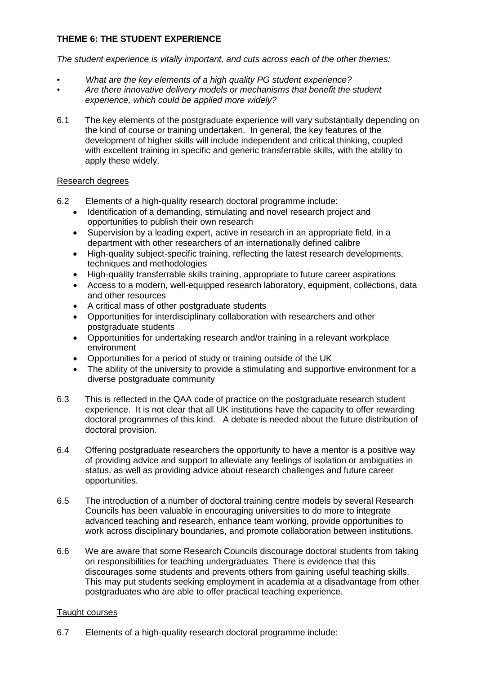# **THEME 6: THE STUDENT EXPERIENCE**

*The student experience is vitally important, and cuts across each of the other themes:* 

- *• What are the key elements of a high quality PG student experience?*
- *• Are there innovative delivery models or mechanisms that benefit the student experience, which could be applied more widely?*
- 6.1 The key elements of the postgraduate experience will vary substantially depending on the kind of course or training undertaken. In general, the key features of the development of higher skills will include independent and critical thinking, coupled with excellent training in specific and generic transferrable skills, with the ability to apply these widely.

## Research degrees

- 6.2 Elements of a high-quality research doctoral programme include:
	- Identification of a demanding, stimulating and novel research project and opportunities to publish their own research
	- Supervision by a leading expert, active in research in an appropriate field, in a department with other researchers of an internationally defined calibre
	- High-quality subject-specific training, reflecting the latest research developments, techniques and methodologies
	- High-quality transferrable skills training, appropriate to future career aspirations
	- Access to a modern, well-equipped research laboratory, equipment, collections, data and other resources
	- A critical mass of other postgraduate students
	- Opportunities for interdisciplinary collaboration with researchers and other postgraduate students
	- Opportunities for undertaking research and/or training in a relevant workplace environment
	- Opportunities for a period of study or training outside of the UK
	- The ability of the university to provide a stimulating and supportive environment for a diverse postgraduate community
- 6.3 This is reflected in the QAA code of practice on the postgraduate research student experience. It is not clear that all UK institutions have the capacity to offer rewarding doctoral programmes of this kind. A debate is needed about the future distribution of doctoral provision.
- 6.4 Offering postgraduate researchers the opportunity to have a mentor is a positive way of providing advice and support to alleviate any feelings of isolation or ambiguities in status, as well as providing advice about research challenges and future career opportunities.
- 6.5 The introduction of a number of doctoral training centre models by several Research Councils has been valuable in encouraging universities to do more to integrate advanced teaching and research, enhance team working, provide opportunities to work across disciplinary boundaries, and promote collaboration between institutions.
- 6.6 We are aware that some Research Councils discourage doctoral students from taking on responsibilities for teaching undergraduates. There is evidence that this discourages some students and prevents others from gaining useful teaching skills. This may put students seeking employment in academia at a disadvantage from other postgraduates who are able to offer practical teaching experience.

## Taught courses

6.7 Elements of a high-quality research doctoral programme include: